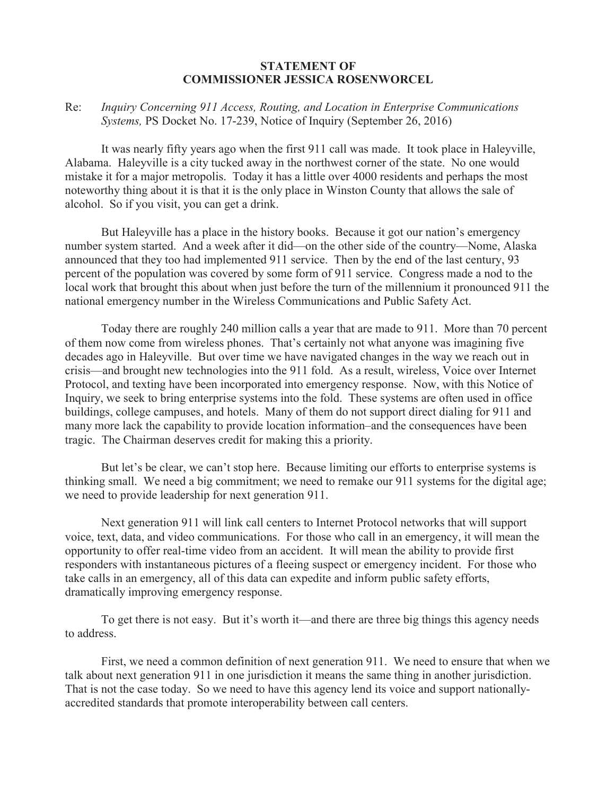## **STATEMENT OF COMMISSIONER JESSICA ROSENWORCEL**

Re: *Inquiry Concerning 911 Access, Routing, and Location in Enterprise Communications Systems,* PS Docket No. 17-239, Notice of Inquiry (September 26, 2016)

It was nearly fifty years ago when the first 911 call was made. It took place in Haleyville, Alabama. Haleyville is a city tucked away in the northwest corner of the state. No one would mistake it for a major metropolis. Today it has a little over 4000 residents and perhaps the most noteworthy thing about it is that it is the only place in Winston County that allows the sale of alcohol. So if you visit, you can get a drink.

But Haleyville has a place in the history books. Because it got our nation's emergency number system started. And a week after it did—on the other side of the country—Nome, Alaska announced that they too had implemented 911 service. Then by the end of the last century, 93 percent of the population was covered by some form of 911 service. Congress made a nod to the local work that brought this about when just before the turn of the millennium it pronounced 911 the national emergency number in the Wireless Communications and Public Safety Act.

Today there are roughly 240 million calls a year that are made to 911. More than 70 percent of them now come from wireless phones. That's certainly not what anyone was imagining five decades ago in Haleyville. But over time we have navigated changes in the way we reach out in crisis—and brought new technologies into the 911 fold. As a result, wireless, Voice over Internet Protocol, and texting have been incorporated into emergency response. Now, with this Notice of Inquiry, we seek to bring enterprise systems into the fold. These systems are often used in office buildings, college campuses, and hotels. Many of them do not support direct dialing for 911 and many more lack the capability to provide location information–and the consequences have been tragic. The Chairman deserves credit for making this a priority.

But let's be clear, we can't stop here. Because limiting our efforts to enterprise systems is thinking small. We need a big commitment; we need to remake our 911 systems for the digital age; we need to provide leadership for next generation 911.

Next generation 911 will link call centers to Internet Protocol networks that will support voice, text, data, and video communications. For those who call in an emergency, it will mean the opportunity to offer real-time video from an accident. It will mean the ability to provide first responders with instantaneous pictures of a fleeing suspect or emergency incident. For those who take calls in an emergency, all of this data can expedite and inform public safety efforts, dramatically improving emergency response.

To get there is not easy. But it's worth it—and there are three big things this agency needs to address.

First, we need a common definition of next generation 911. We need to ensure that when we talk about next generation 911 in one jurisdiction it means the same thing in another jurisdiction. That is not the case today. So we need to have this agency lend its voice and support nationallyaccredited standards that promote interoperability between call centers.